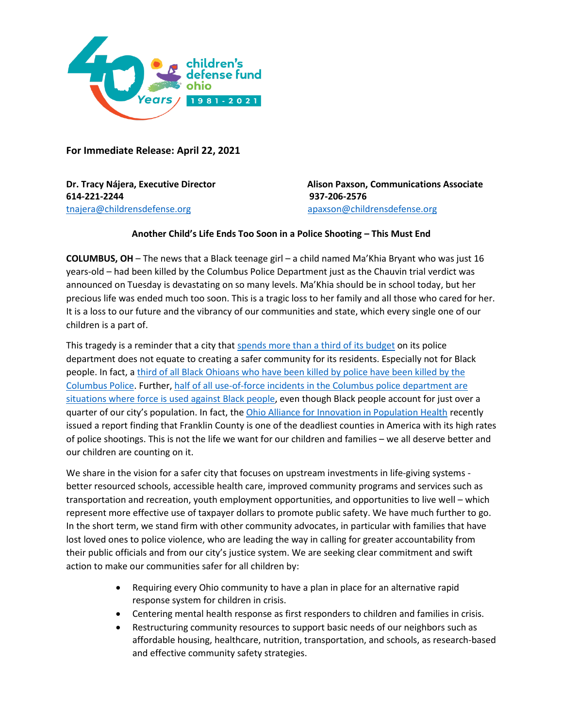

**For Immediate Release: April 22, 2021**

**614-221-2244 937-206-2576**  [tnajera@childrensdefense.org](mailto:tnajera@childrensdefense.org)[apaxson@childrensdefense.org](mailto:tnajera@childrensdefense.org)

**Dr. Tracy Nájera, Executive Director Alison Paxson, Communications Associate** 

## **Another Child's Life Ends Too Soon in a Police Shooting – This Must End**

**COLUMBUS, OH** – The news that a Black teenage girl – a child named Ma'Khia Bryant who was just 16 years-old – had been killed by the Columbus Police Department just as the Chauvin trial verdict was announced on Tuesday is devastating on so many levels. Ma'Khia should be in school today, but her precious life was ended much too soon. This is a tragic loss to her family and all those who cared for her. It is a loss to our future and the vibrancy of our communities and state, which every single one of our children is a part of.

This tragedy is a reminder that a city that [spends more than a third of its budget](https://news.wosu.org/news/2020-06-16/defund-the-police-columbus-police-account-for-more-than-a-third-of-citys-budget) on its police department does not equate to creating a safer community for its residents. Especially not for Black people. In fact, a third of all Black Ohioans [who have been killed by police have been killed by the](https://www.washingtonpost.com/graphics/investigations/police-shootings-database/)  [Columbus Police.](https://www.washingtonpost.com/graphics/investigations/police-shootings-database/) Further[, half of all use-of-force incidents in the Columbus police department are](https://www.dispatch.com/news/20190821/columbus-police-use-force-disproportionately-against-minorities-study-finds)  [situations where force is used against Black people,](https://www.dispatch.com/news/20190821/columbus-police-use-force-disproportionately-against-minorities-study-finds) even though Black people account for just over a quarter of our city's population. In fact, th[e Ohio Alliance for Innovation in Population Health](https://www.msn.com/en-us/news/crime/ohio-county-where-girl-16-was-killed-is-state-s-deadliest-for-police-shootings/ar-BB1fTLqn?ocid=BingNewsSearch) recently issued a report finding that Franklin County is one of the deadliest counties in America with its high rates of police shootings. This is not the life we want for our children and families – we all deserve better and our children are counting on it.

We share in the vision for a safer city that focuses on upstream investments in life-giving systems better resourced schools, accessible health care, improved community programs and services such as transportation and recreation, youth employment opportunities, and opportunities to live well – which represent more effective use of taxpayer dollars to promote public safety. We have much further to go. In the short term, we stand firm with other community advocates, in particular with families that have lost loved ones to police violence, who are leading the way in calling for greater accountability from their public officials and from our city's justice system. We are seeking clear commitment and swift action to make our communities safer for all children by:

- Requiring every Ohio community to have a plan in place for an alternative rapid response system for children in crisis.
- Centering mental health response as first responders to children and families in crisis.
- Restructuring community resources to support basic needs of our neighbors such as affordable housing, healthcare, nutrition, transportation, and schools, as research-based and effective community safety strategies.